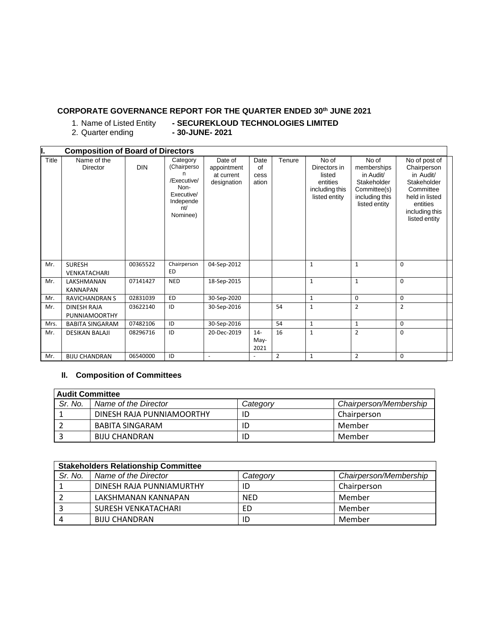## **CORPORATE GOVERNANCE REPORT FOR THE QUARTER ENDED 30 th JUNE 2021**

 $2.$  Quarter ending

1. Name of Listed Entity **- SECUREKLOUD TECHNOLOGIES LIMITED**

|       | <b>Composition of Board of Directors</b>   |            |                                                                                              |                                                     |                             |                |                                                                                |                                                                                                     |                                                                                                                                        |  |
|-------|--------------------------------------------|------------|----------------------------------------------------------------------------------------------|-----------------------------------------------------|-----------------------------|----------------|--------------------------------------------------------------------------------|-----------------------------------------------------------------------------------------------------|----------------------------------------------------------------------------------------------------------------------------------------|--|
| Title | Name of the<br>Director                    | <b>DIN</b> | Category<br>(Chairperso<br>/Executive/<br>Non-<br>Executive/<br>Independe<br>nt/<br>Nominee) | Date of<br>appointment<br>at current<br>designation | Date<br>of<br>cess<br>ation | Tenure         | No of<br>Directors in<br>listed<br>entities<br>including this<br>listed entity | No of<br>memberships<br>in Audit/<br>Stakeholder<br>Committee(s)<br>including this<br>listed entity | No of post of<br>Chairperson<br>in Audit/<br>Stakeholder<br>Committee<br>held in listed<br>entities<br>including this<br>listed entity |  |
| Mr.   | <b>SURESH</b><br>VENKATACHARI              | 00365522   | Chairperson<br>ED                                                                            | 04-Sep-2012                                         |                             |                | $\mathbf{1}$                                                                   | $\mathbf{1}$                                                                                        | $\mathbf 0$                                                                                                                            |  |
| Mr.   | LAKSHMANAN<br><b>KANNAPAN</b>              | 07141427   | <b>NED</b>                                                                                   | 18-Sep-2015                                         |                             |                | $\mathbf{1}$                                                                   | $\mathbf{1}$                                                                                        | $\mathbf 0$                                                                                                                            |  |
| Mr.   | <b>RAVICHANDRAN S</b>                      | 02831039   | <b>ED</b>                                                                                    | 30-Sep-2020                                         |                             |                | $\mathbf{1}$                                                                   | $\mathbf 0$                                                                                         | 0                                                                                                                                      |  |
| Mr.   | <b>DINESH RAJA</b><br><b>PUNNIAMOORTHY</b> | 03622140   | ID                                                                                           | 30-Sep-2016                                         |                             | 54             | 1                                                                              | $\overline{2}$                                                                                      | $\overline{2}$                                                                                                                         |  |
| Mrs.  | <b>BABITA SINGARAM</b>                     | 07482106   | ID                                                                                           | 30-Sep-2016                                         |                             | 54             | $\mathbf{1}$                                                                   | $\mathbf{1}$                                                                                        | 0                                                                                                                                      |  |
| Mr.   | <b>DESIKAN BALAJI</b>                      | 08296716   | ID                                                                                           | 20-Dec-2019                                         | $14-$<br>May-<br>2021       | 16             | $\mathbf{1}$                                                                   | $\overline{2}$                                                                                      | $\mathbf 0$                                                                                                                            |  |
| Mr.   | <b>BIJU CHANDRAN</b>                       | 06540000   | ID                                                                                           | $\overline{\phantom{a}}$                            |                             | $\overline{2}$ | $\mathbf{1}$                                                                   | $\overline{2}$                                                                                      | $\mathbf 0$                                                                                                                            |  |

## **II. Composition of Committees**

| <b>Audit Committee</b> |                           |          |                        |  |  |
|------------------------|---------------------------|----------|------------------------|--|--|
| Sr. No.                | Name of the Director      | Category | Chairperson/Membership |  |  |
|                        | DINESH RAJA PUNNIAMOORTHY |          | Chairperson            |  |  |
|                        | BABITA SINGARAM           | ID       | Member                 |  |  |
|                        | BIJU CHANDRAN             | ID       | Member                 |  |  |

|         | <b>Stakeholders Relationship Committee</b> |            |                        |  |  |  |
|---------|--------------------------------------------|------------|------------------------|--|--|--|
| Sr. No. | Name of the Director                       | Categorv   | Chairperson/Membership |  |  |  |
|         | DINESH RAJA PUNNIAMURTHY                   | ID         | Chairperson            |  |  |  |
|         | LAKSHMANAN KANNAPAN                        | <b>NED</b> | Member                 |  |  |  |
|         | SURESH VENKATACHARI                        | ED         | Member                 |  |  |  |
| 4       | <b>BIJU CHANDRAN</b>                       | ID         | Member                 |  |  |  |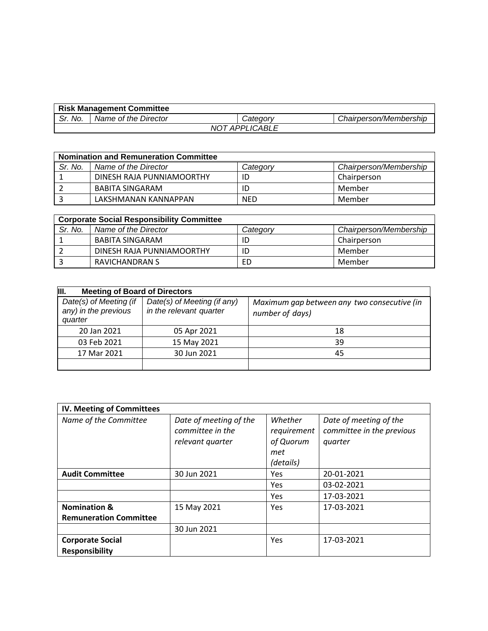| <b>Risk Management Committee</b> |                      |                 |                        |  |
|----------------------------------|----------------------|-----------------|------------------------|--|
| Sr. No.                          | Name of the Director | <i>Category</i> | Chairperson/Membership |  |
| <b>NOT APPLICABLE</b>            |                      |                 |                        |  |

|         | <b>Nomination and Remuneration Committee</b> |            |                        |  |  |
|---------|----------------------------------------------|------------|------------------------|--|--|
| Sr. No. | Name of the Director                         | Categorv   | Chairperson/Membership |  |  |
|         | DINESH RAJA PUNNIAMOORTHY                    | ID         | Chairperson            |  |  |
|         | BABITA SINGARAM                              | ID         | Member                 |  |  |
|         | LAKSHMANAN KANNAPPAN                         | <b>NED</b> | Member                 |  |  |

|         | <b>Corporate Social Responsibility Committee</b> |          |                        |  |  |  |
|---------|--------------------------------------------------|----------|------------------------|--|--|--|
| Sr. No. | Name of the Director                             | Category | Chairperson/Membership |  |  |  |
|         | BABITA SINGARAM                                  | ID       | Chairperson            |  |  |  |
|         | DINESH RAJA PUNNIAMOORTHY                        | ID       | Member                 |  |  |  |
|         | RAVICHANDRAN S                                   | ED       | Member                 |  |  |  |

| III.<br><b>Meeting of Board of Directors</b>              |                                                        |                                                                |  |  |  |
|-----------------------------------------------------------|--------------------------------------------------------|----------------------------------------------------------------|--|--|--|
| Date(s) of Meeting (if<br>any) in the previous<br>quarter | Date(s) of Meeting (if any)<br>in the relevant quarter | Maximum gap between any two consecutive (in<br>number of days) |  |  |  |
| 20 Jan 2021                                               | 05 Apr 2021                                            | 18                                                             |  |  |  |
| 03 Feb 2021                                               | 15 May 2021                                            | 39                                                             |  |  |  |
| 17 Mar 2021                                               | 30 Jun 2021                                            | 45                                                             |  |  |  |
|                                                           |                                                        |                                                                |  |  |  |

| IV. Meeting of Committees                        |                                                                |                                                         |                                                                |
|--------------------------------------------------|----------------------------------------------------------------|---------------------------------------------------------|----------------------------------------------------------------|
| Name of the Committee                            | Date of meeting of the<br>committee in the<br>relevant quarter | Whether<br>requirement<br>of Quorum<br>met<br>(details) | Date of meeting of the<br>committee in the previous<br>quarter |
| <b>Audit Committee</b>                           | 30 Jun 2021                                                    | Yes                                                     | 20-01-2021                                                     |
|                                                  |                                                                | Yes                                                     | 03-02-2021                                                     |
|                                                  |                                                                | <b>Yes</b>                                              | 17-03-2021                                                     |
| <b>Nomination &amp;</b>                          | 15 May 2021                                                    | Yes                                                     | 17-03-2021                                                     |
| <b>Remuneration Committee</b>                    |                                                                |                                                         |                                                                |
|                                                  | 30 Jun 2021                                                    |                                                         |                                                                |
| <b>Corporate Social</b><br><b>Responsibility</b> |                                                                | Yes                                                     | 17-03-2021                                                     |